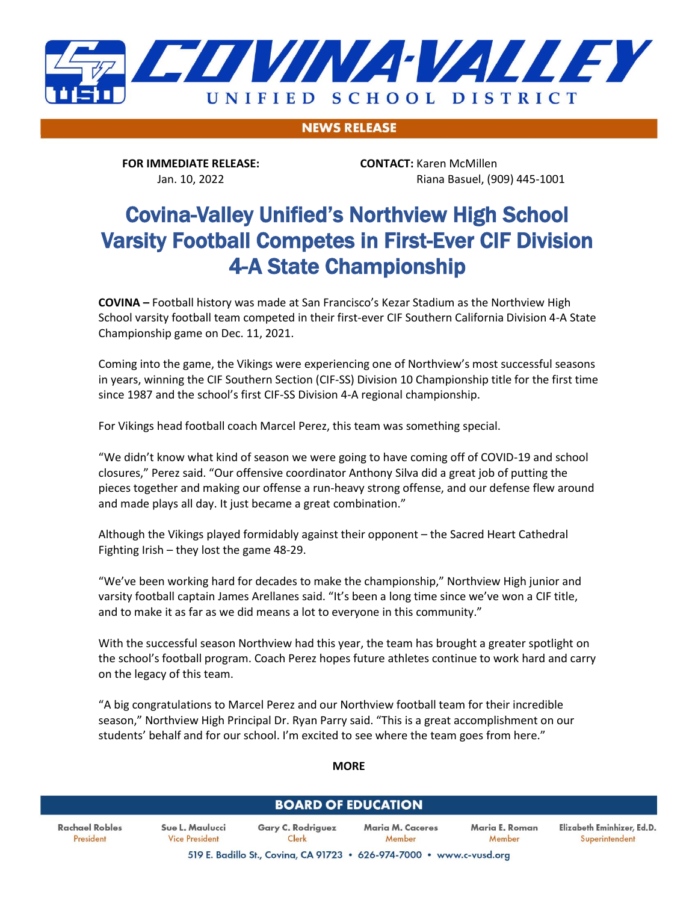

**NEWS RELEASE** 

**FOR IMMEDIATE RELEASE: CONTACT:** Karen McMillen

Jan. 10, 2022 Riana Basuel, (909) 445-1001

# Covina-Valley Unified's Northview High School Varsity Football Competes in First-Ever CIF Division 4-A State Championship

**COVINA –** Football history was made at San Francisco's Kezar Stadium as the Northview High School varsity football team competed in their first-ever CIF Southern California Division 4-A State Championship game on Dec. 11, 2021.

Coming into the game, the Vikings were experiencing one of Northview's most successful seasons in years, winning the CIF Southern Section (CIF-SS) Division 10 Championship title for the first time since 1987 and the school's first CIF-SS Division 4-A regional championship.

For Vikings head football coach Marcel Perez, this team was something special.

"We didn't know what kind of season we were going to have coming off of COVID-19 and school closures," Perez said. "Our offensive coordinator Anthony Silva did a great job of putting the pieces together and making our offense a run-heavy strong offense, and our defense flew around and made plays all day. It just became a great combination."

Although the Vikings played formidably against their opponent – the Sacred Heart Cathedral Fighting Irish – they lost the game 48-29.

"We've been working hard for decades to make the championship," Northview High junior and varsity football captain James Arellanes said. "It's been a long time since we've won a CIF title, and to make it as far as we did means a lot to everyone in this community."

With the successful season Northview had this year, the team has brought a greater spotlight on the school's football program. Coach Perez hopes future athletes continue to work hard and carry on the legacy of this team.

"A big congratulations to Marcel Perez and our Northview football team for their incredible season," Northview High Principal Dr. Ryan Parry said. "This is a great accomplishment on our students' behalf and for our school. I'm excited to see where the team goes from here."

#### **MORE**

### **BOARD OF EDUCATION**

**Rachael Robles** President

Sue L. Maulucci Gary C. Rodriguez Maria M. Caceres Maria E. Roman **Vice President** Clerk Member Member 519 E. Badillo St., Covina, CA 91723 . 626-974-7000 . www.c-vusd.org